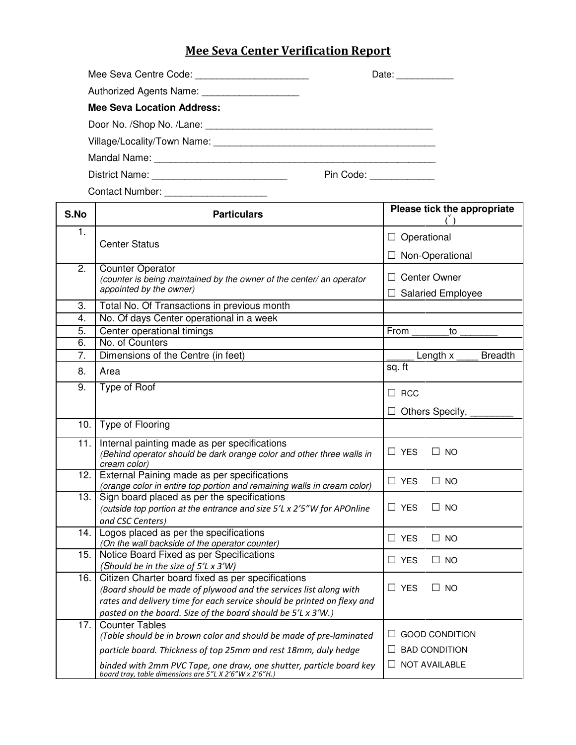## Mee Seva Center Verification Report

| Mee Seva Centre Code: _________________________                                                                | Date: $\frac{1}{2}$  |
|----------------------------------------------------------------------------------------------------------------|----------------------|
| Authorized Agents Name: _____________________                                                                  |                      |
| <b>Mee Seva Location Address:</b>                                                                              |                      |
|                                                                                                                |                      |
|                                                                                                                |                      |
| Mandal Name: Mandal Name: Mandal Name: Mandal Name: Mandal Name: Mandal Mandal Mandal Mandal Mandal Mandal Man |                      |
|                                                                                                                | Pin Code: __________ |

Contact Number: S.No Particulars Please tick the appropriate **( )** 1. Center Status Center Status and D Operational D Operational Oenter Status and the Context of the Context of the Context of Text of Text of Text of Text of Text of Text of Text of Text of Text of Text of Text of Text of Text of Text of Text of Text of Text of Text of Text of Text o 2. Counter Operator (counter is being maintained by the owner of the center/ an operator  $\Box$  Center Owner appointed by the owner)  $\Box$  Salaried Employee 3. Total No. Of Transactions in previous month 4. No. Of days Center operational in a week 5. Center operational timings From to 6. No. of Counters 7. Dimensions of the Centre (in feet) The Control of the Centre (in feet) Length x Breadth 8. Area sq. ft 9. Type of Roof □ 9. Type of Roof Note and Second Second Duration of Duration Duration Duration Duration Duration Duration Duration Duration Duration Duration Duration Duration Duration Duration Duration Duration Duration Duration Durati □ Others Specify, \_\_\_\_\_\_\_\_ 10. Type of Flooring  $\overline{\phantom{a}}$ 11. Internal painting made as per specifications (Behind operator should be dark orange color and other three walls in  $\Box$  YES  $\Box$  NO cream color) 12. External Paining made as per specifications  $\begin{array}{|l|l|}\n\hline\n\text{vers} & \Box \text{ No} \\
\hline\n\end{array}$ 13. Sign board placed as per the specifications (outside top portion at the entrance and size 5'L x 2'5"W for APOnline  $\Box$  YES  $\Box$  NO and CSC Centers) 14. Logos placed as per the specifications  $\Box$  YES  $\Box$  NO (On the wall backside of the operator counter) 15. Notice Board Fixed as per Specifications  $\Box$  YES  $\Box$  NO (Should be in the size of 5'L x 3'W) 16. Citizen Charter board fixed as per specifications (Board should be made of plywood and the services list along with  $\Box$  YES  $\Box$  NO rates and delivery time for each service should be printed on flexy and pasted on the board. Size of the board should be 5'L x 3'W.) 17. Counter Tables (Table should be in brown color and should be made of pre-laminated  $\Box$  GOOD CONDITION particle board. Thickness of top 25mm and rest 18mm, duly hedge  $\Box$  BAD CONDITION

board tray, table dimensions are 5"L X 2'6"W x 2'6"H.)

 $\begin{array}{r} \text{particle total} \\ \text{binded with } 2\text{mm } \text{PVC Tape}, \text{one draw}, \text{one shuttle}, \text{particle board key} \end{array}$   $\begin{array}{r} \square \\ \square \end{array}$  NOT AVAILABLE